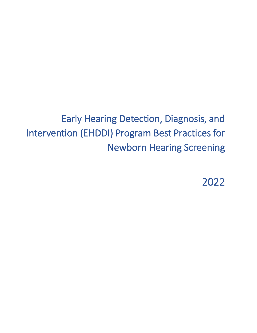Early Hearing Detection, Diagnosis, and Intervention (EHDDI) Program Best Practices for Newborn Hearing Screening

2022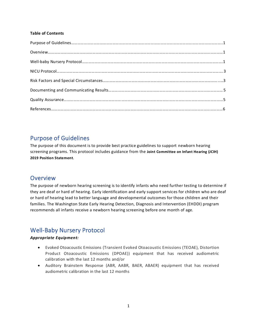#### **Table of Contents**

## Purpose of Guidelines

The purpose of this document is to provide best practice guidelines to support newborn hearing screening programs. This protocol includes guidance from the **[Joint Committee on Infant Hearing \(JCIH\)](https://digitalcommons.usu.edu/cgi/viewcontent.cgi?article=1104&context=jehdi)  [2019 Position Statement](https://digitalcommons.usu.edu/cgi/viewcontent.cgi?article=1104&context=jehdi)**.

### **Overview**

The purpose of newborn hearing screening is to identify infants who need further testing to determine if they are deaf or hard of hearing. Early identification and early support services for children who are deaf or hard of hearing lead to better language and developmental outcomes for those children and their families. The Washington State Early Hearing Detection, Diagnosis and Intervention (EHDDI) program recommends all infants receive a newborn hearing screening before one month of age.

# Well-Baby Nursery Protocol

### *Appropriate Equipment:*

- Evoked Otoacoustic Emissions (Transient Evoked Otoacoustic Emissions (TEOAE), Distortion Product Otoacoustic Emissions (DPOAE)) equipment that has received audiometric calibration with the last 12 months and/or
- Auditory Brainstem Response (ABR, AABR, BAER, ABAER) equipment that has received audiometric calibration in the last 12 months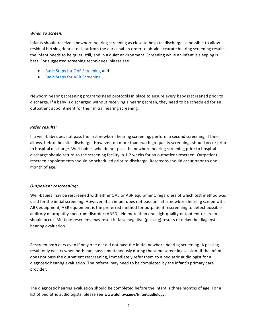#### *When to screen:*

Infants should receive a newborn hearing screening as close to hospital discharge as possible to allow residual birthing debris to clear from the ear canal. In order to obtain accurate hearing screening results, the infant needs to be quiet, still, and in a quiet environment. Screening while an infant is sleeping is best. For suggested screening techniques, please see:

- [Basic Steps for OAE Screening](https://www.doh.wa.gov/Portals/1/Documents/8330/344-037-OAEtest-en-L.pdf) and
- [Basic Steps for ABR Screening](https://www.doh.wa.gov/Portals/1/Documents/8330/344-038-ABRtest-en-L.pdf)

Newborn hearing screening programs need protocols in place to ensure every baby is screened prior to discharge. If a baby is discharged without receiving a hearing screen, they need to be scheduled for an outpatient appointment for their initial hearing screening.

#### *Refer results:*

If a well-baby does not pass the first newborn hearing screening, perform a second screening, if time allows, before hospital discharge. However, no more than two high-quality screenings should occur prior to hospital discharge. Well-babies who do not pass the newborn hearing screening prior to hospital discharge should return to the screening facility in 1-2 weeks for an outpatient rescreen. Outpatient rescreen appointments should be scheduled prior to discharge. Rescreens should occur prior to one month of age.

#### *Outpatient rescreening:*

Well-babies may be rescreened with either OAE or ABR equipment, regardless of which test method was used for the initial screening. However, if an infant does not pass an initial newborn hearing screen with ABR equipment, ABR equipment is the preferred method for outpatient rescreening to detect possible auditory neuropathy spectrum disorder (ANSD). No more than one high-quality outpatient rescreen should occur. Multiple rescreens may result in false negative (passing) results or delay the diagnostic hearing evaluation.

Rescreen both ears even if only one ear did not pass the initial newborn hearing screening. A passing result only occurs when both ears pass simultaneously during the same screening session. If the infant does not pass the outpatient rescreening, immediately refer them to a pediatric audiologist for a diagnostic hearing evaluation. The referral may need to be completed by the infant's primary care provider.

The diagnostic hearing evaluation should be completed before the infant is three months of age. For a list of pediatric audiologists, please see **[www.doh.wa.gov/infantaudiology](http://www.doh.wa.gov/infantaudiology)**.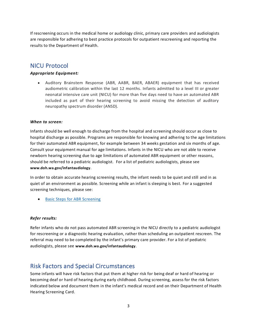If rescreening occurs in the medical home or audiology clinic, primary care providers and audiologists are responsible for adhering to best practice protocols for outpatient rescreening and reporting the results to the Department of Health.

# NICU Protocol

### *Appropriate Equipment:*

• Auditory Brainstem Response (ABR, AABR, BAER, ABAER) equipment that has received audiometric calibration within the last 12 months. Infants admitted to a level III or greater neonatal intensive care unit (NICU) for more than five days need to have an automated ABR included as part of their hearing screening to avoid missing the detection of auditory neuropathy spectrum disorder (ANSD).

#### *When to screen:*

Infants should be well enough to discharge from the hospital and screening should occur as close to hospital discharge as possible. Programs are responsible for knowing and adhering to the age limitations for their automated ABR equipment, for example between 34 weeks gestation and six months of age. Consult your equipment manual for age limitations. Infants in the NICU who are not able to receive newborn hearing screening due to age limitations of automated ABR equipment or other reasons, should be referred to a pediatric audiologist. For a list of pediatric audiologists, please see **[www.doh.wa.gov/infantaudiology](http://www.doh.wa.gov/infantaudiology)**.

In order to obtain accurate hearing screening results, the infant needs to be quiet and still and in as quiet of an environment as possible. Screening while an infant is sleeping is best. For a suggested screening techniques, please see:

• [Basic Steps for ABR Screening](https://www.doh.wa.gov/Portals/1/Documents/8330/344-038-ABRtest-en-L.pdf)

#### *Refer results:*

Refer infants who do not pass automated ABR screening in the NICU directly to a pediatric audiologist for rescreening or a diagnostic hearing evaluation, rather than scheduling an outpatient rescreen. The referral may need to be completed by the infant's primary care provider. For a list of pediatric audiologists, please see **[www.doh.wa.gov/infantaudiology](http://www.doh.wa.gov/infantaudiology)**.

## Risk Factors and Special Circumstances

Some infants will have risk factors that put them at higher risk for being deaf or hard of hearing or becoming deaf or hard of hearing during early childhood. During screening, assess for the risk factors indicated below and document them in the infant's medical record and on their Department of Health Hearing Screening Card.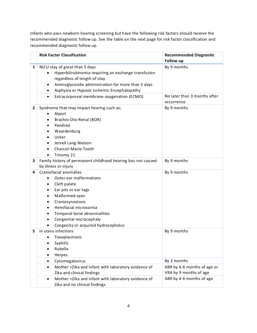Infants who pass newborn hearing screening but have the following risk factors should receive the recommended diagnostic follow up. See the table on the next page for risk factor classification and recommended diagnostic follow up.

|   | <b>Risk Factor Classification</b>                                                                                                                                                                                                                                                                          | <b>Recommended Diagnostic</b><br>Follow up                                          |
|---|------------------------------------------------------------------------------------------------------------------------------------------------------------------------------------------------------------------------------------------------------------------------------------------------------------|-------------------------------------------------------------------------------------|
| 1 | NICU stay of great than 5 days<br>Hyperbilirubinemia requiring an exchange transfusion<br>regardless of length of stay.<br>Aminoglycoside administration for more than 5 days<br>٠<br>Asphyxia or Hypoxic Ischemic Encephalopathy<br>٠                                                                     | By 9 months                                                                         |
|   | Extracorporeal membrane oxygenation (ECMO)<br>$\bullet$                                                                                                                                                                                                                                                    | No later than 3 months after<br>occurrence                                          |
| 2 | Syndrome that may impact hearing such as;<br>Alport<br>Brachio-Oto-Renal (BOR)<br>Pendred<br>$\bullet$<br>Waardenburg<br>Usher<br>Jervell Lang-Nielson<br>٠<br>Charcot-Marie-Tooth<br>$\bullet$<br>Trisomy 21<br>$\bullet$                                                                                 | By 9 months                                                                         |
| 3 | Family history of permanent childhood hearing loss not caused<br>by illness or injury                                                                                                                                                                                                                      | By 9 months                                                                         |
| 4 | Craniofacial anomalies<br>Outer ear malformations<br>Cleft palate<br>٠<br>Ear pits or ear tags<br>$\bullet$<br>Malformed eyes<br>Craniosynostosis<br>$\bullet$<br>Hemifacial microsomia<br>$\bullet$<br>Temporal bone abnormalities<br>Congenital microcephaly<br>٠<br>Congenita or acquired hydrocephalus | By 9 months                                                                         |
| 5 | In utero infections<br>Toxoplasmosis<br>Syphilis<br>Rubella<br>Herpes<br>Cytomegalovirus<br>٠<br>Mother +Zika and infant with laboratory evidence of<br>٠<br>Zika and clinical findings                                                                                                                    | By 9 months<br>By 3 months<br>ABR by 4-6 months of age or<br>VRA by 9 months of age |
|   | Mother +Zika and infant with laboratory evidence of<br>$\bullet$<br>Zika and no clinical findings                                                                                                                                                                                                          | ABR by 4-6 months of age                                                            |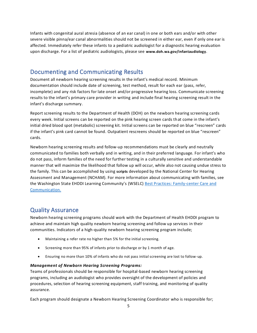Infants with congenital aural atresia (absence of an ear canal) in one or both ears and/or with other severe visible pinna/ear canal abnormalities should not be screened in either ear, even if only one ear is affected. Immediately refer these infants to a pediatric audiologist for a diagnostic hearing evaluation upon discharge. For a list of pediatric audiologists, please see **[www.doh.wa.gov/infantaudiology](http://www.doh.wa.gov/infantaudiology)**.

### Documenting and Communicating Results

Document all newborn hearing screening results in the infant's medical record. Minimum documentation should include date of screening, test method, result for each ear (pass, refer, incomplete) and any risk factors for late onset and/or progressive hearing loss. Communicate screening results to the infant's primary care provider in writing and include final hearing screening result in the infant's discharge summary.

Report screening results to the Department of Health (DOH) on the newborn hearing screening cards every week. Initial screens can be reported on the pink hearing screen cards that come in the infant's initial dried blood spot (metabolic) screening kit. Initial screens can be reported on blue "rescreen" cards if the infant's pink card cannot be found. Outpatient rescreens should be reported on blue "rescreen" cards.

Newborn hearing screening results and follow-up recommendations must be clearly and neutrally communicated to families both verbally and in writing, and in their preferred language. For infant's who do not pass, inform families of the need for further testing in a culturally sensitive and understandable manner that will maximize the likelihood that follow up will occur, while also not causing undue stress to the family. This can be accomplished by using **[scripts](http://www.infanthearing.org/nhstc/docs/nhstc-web-scripts-for-parents.pdf#search=%22scripts%22)** developed by the National Center for Hearing Assessment and Management (NCHAM). For more information about communicating with families, see the Washington State EHDDI Learning Community's (WSELC) [Best Practices: Family-center Care and](https://wselc.org/wp-content/uploads/2020/05/wselc-best-practices-family-centered-care-and-converstions.pdf)  [Communication.](https://wselc.org/wp-content/uploads/2020/05/wselc-best-practices-family-centered-care-and-converstions.pdf)

## Quality Assurance

Newborn hearing screening programs should work with the Department of Health EHDDI program to achieve and maintain high quality newborn hearing screening and follow up services in their communities. Indicators of a high-quality newborn hearing screening program include;

- Maintaining a refer rate no higher than 5% for the initial screening.
- Screening more than 95% of infants prior to discharge or by 1 month of age.
- Ensuring no more than 10% of infants who do not pass initial screening are lost to follow-up.

#### *Management of Newborn Hearing Screening Programs:*

Teams of professionals should be responsible for hospital-based newborn hearing screening programs, including an audiologist who provides oversight of the development of policies and procedures, selection of hearing screening equipment, staff training, and monitoring of quality assurance.

Each program should designate a Newborn Hearing Screening Coordinator who is responsible for;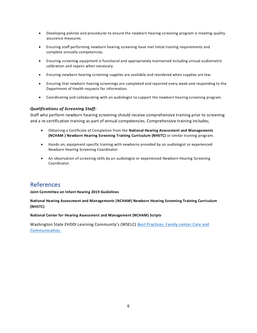- Developing policies and procedures to ensure the newborn hearing screening program is meeting quality assurance measures.
- Ensuring staff performing newborn hearing screening have met initial training requirements and complete annually competencies.
- Ensuring screening equipment is functional and appropriately maintained including annual audiometric calibration and repairs when necessary.
- Ensuring newborn hearing screening supplies are available and reordered when supplies are low.
- Ensuring that newborn hearing screenings are completed and reported every week and responding to the Department of Health requests for information.
- Coordinating and collaborating with an audiologist to support the newborn hearing screening program.

#### *Qualifications of Screening Staff:*

Staff who perform newborn hearing screening should receive comprehensive training prior to screening and a re-certification training as part of annual competencies. Comprehensive training includes;

- Obtaining a Certificate of Completion from the **[National Hearing Assessment and Managements](http://www.infanthearing.org/nhstc/index.html)  (NCHAM ) [Newborn Hearing Screening Training Curriculum \(NHSTC\)](http://www.infanthearing.org/nhstc/index.html)** or similar training program.
- Hands-on, equipment specific training with newborns provided by an audiologist or experienced Newborn Hearing Screening Coordinator.
- An observation of screening skills by an audiologist or experienced Newborn Hearing Screening Coordinator.

### References

**[Joint Committee on Infant Hearing 2019 Guidelines](https://digitalcommons.usu.edu/cgi/viewcontent.cgi?article=1104&context=jehdi)**

#### **[National Hearing Assessment and Managements \(NCHAM\)](http://www.infanthearing.org/nhstc/index.html) Newborn Hearing Screening Training Curriculum [\(NHSTC\)](http://www.infanthearing.org/nhstc/index.html)**

**[National Center for Hearing Assessment and Management \(NCHAM\) Scripts](http://www.infanthearing.org/nhstc/docs/nhstc-web-scripts-for-parents.pdf#search=%22scripts%22)**

Washington State EHDDI Learning Community's (WSELC) [Best Practices: Family-center Care and](https://wselc.org/wp-content/uploads/2020/05/wselc-best-practices-family-centered-care-and-converstions.pdf)  [Communication.](https://wselc.org/wp-content/uploads/2020/05/wselc-best-practices-family-centered-care-and-converstions.pdf)